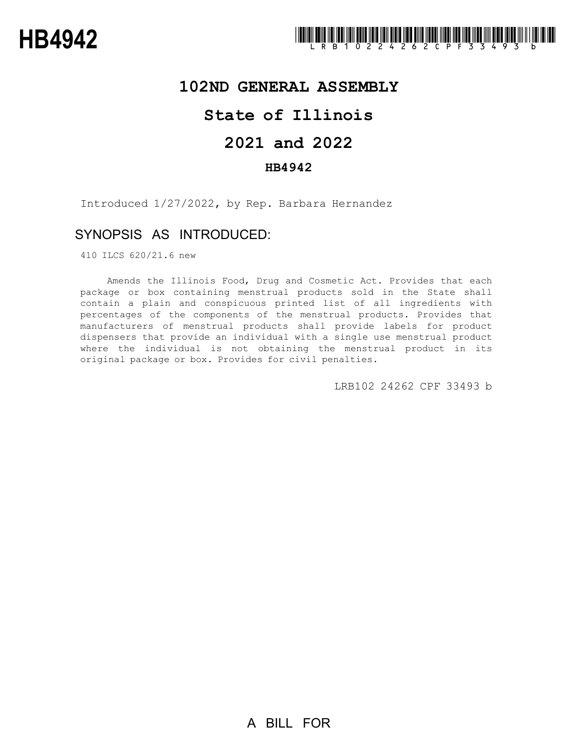## **102ND GENERAL ASSEMBLY**

# **State of Illinois**

# **2021 and 2022**

### **HB4942**

Introduced 1/27/2022, by Rep. Barbara Hernandez

## SYNOPSIS AS INTRODUCED:

410 ILCS 620/21.6 new

Amends the Illinois Food, Drug and Cosmetic Act. Provides that each package or box containing menstrual products sold in the State shall contain a plain and conspicuous printed list of all ingredients with percentages of the components of the menstrual products. Provides that manufacturers of menstrual products shall provide labels for product dispensers that provide an individual with a single use menstrual product where the individual is not obtaining the menstrual product in its original package or box. Provides for civil penalties.

LRB102 24262 CPF 33493 b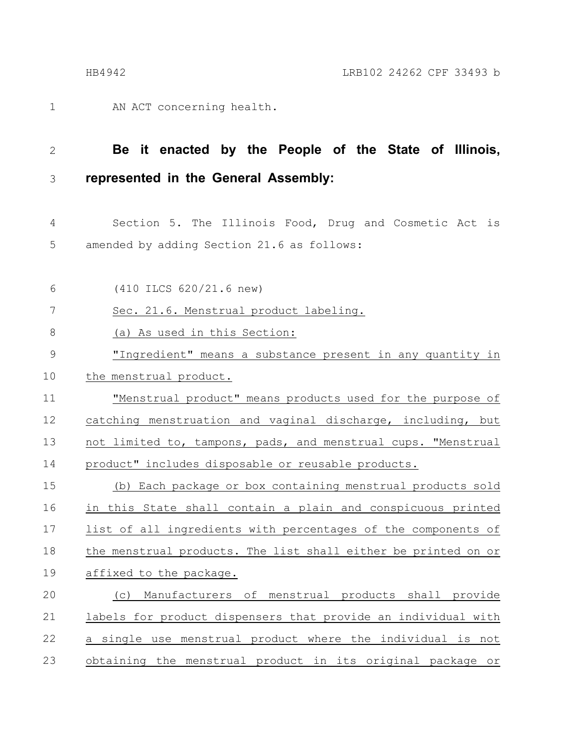AN ACT concerning health. 1

#### **Be it enacted by the People of the State of Illinois, represented in the General Assembly:** 2 3

Section 5. The Illinois Food, Drug and Cosmetic Act is amended by adding Section 21.6 as follows: 4 5

(410 ILCS 620/21.6 new) Sec. 21.6. Menstrual product labeling. (a) As used in this Section: "Ingredient" means a substance present in any quantity in the menstrual product. "Menstrual product" means products used for the purpose of catching menstruation and vaginal discharge, including, but not limited to, tampons, pads, and menstrual cups. "Menstrual product" includes disposable or reusable products. (b) Each package or box containing menstrual products sold in this State shall contain a plain and conspicuous printed list of all ingredients with percentages of the components of the menstrual products. The list shall either be printed on or affixed to the package. (c) Manufacturers of menstrual products shall provide labels for product dispensers that provide an individual with a single use menstrual product where the individual is not obtaining the menstrual product in its original package or 6 7 8 9 10 11 12 13 14 15 16 17 18 19 20 21 22 23